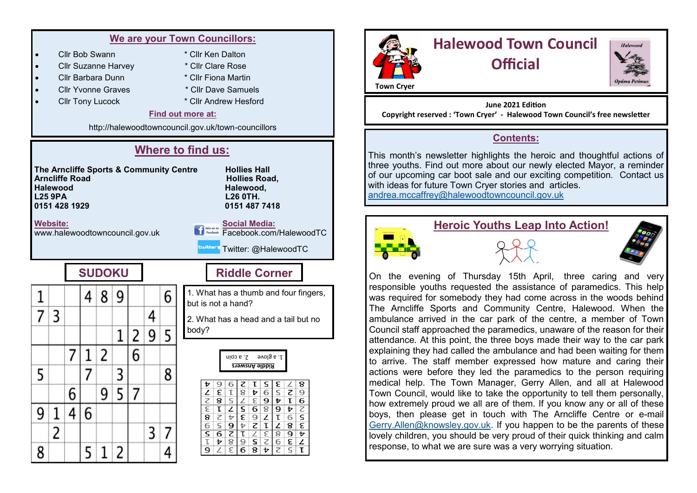|   | We are your Town Councillors:                                                                                                                                                                                          |   |   |   |   |   |   |                       |                                                                                                                                                                                                                                                              |  |  |  |
|---|------------------------------------------------------------------------------------------------------------------------------------------------------------------------------------------------------------------------|---|---|---|---|---|---|-----------------------|--------------------------------------------------------------------------------------------------------------------------------------------------------------------------------------------------------------------------------------------------------------|--|--|--|
|   | Cllr Bob Swann                                                                                                                                                                                                         |   |   |   |   |   |   |                       | * Cllr Ken Dalton                                                                                                                                                                                                                                            |  |  |  |
|   | <b>Cllr Suzanne Harvey</b>                                                                                                                                                                                             |   |   |   |   |   |   |                       | * Cllr Clare Rose                                                                                                                                                                                                                                            |  |  |  |
|   | Cllr Barbara Dunn                                                                                                                                                                                                      |   |   |   |   |   |   |                       | * Cllr Fiona Martin                                                                                                                                                                                                                                          |  |  |  |
|   | <b>Cllr Yvonne Graves</b>                                                                                                                                                                                              |   |   |   |   |   |   |                       | * Cllr Dave Samuels                                                                                                                                                                                                                                          |  |  |  |
|   | <b>Cllr Tony Lucock</b>                                                                                                                                                                                                |   |   |   |   |   |   | * Cllr Andrew Hesford |                                                                                                                                                                                                                                                              |  |  |  |
|   | Find out more at:                                                                                                                                                                                                      |   |   |   |   |   |   |                       |                                                                                                                                                                                                                                                              |  |  |  |
|   | http://halewoodtowncouncil.gov.uk/town-councillors                                                                                                                                                                     |   |   |   |   |   |   |                       |                                                                                                                                                                                                                                                              |  |  |  |
|   | <b>Where to find us:</b>                                                                                                                                                                                               |   |   |   |   |   |   |                       |                                                                                                                                                                                                                                                              |  |  |  |
|   | The Arncliffe Sports & Community Centre<br><b>Hollies Hall</b><br><b>Arncliffe Road</b><br><b>Hollies Road,</b><br><b>Halewood</b><br>Halewood,<br><b>L25 9PA</b><br><b>L26 OTH.</b><br>0151 487 7418<br>0151 428 1929 |   |   |   |   |   |   |                       |                                                                                                                                                                                                                                                              |  |  |  |
|   | <u>Website:</u><br><b>Social Media:</b><br>Join us on<br>Facebook.com/HalewoodTC<br>Facebook                                                                                                                           |   |   |   |   |   |   |                       |                                                                                                                                                                                                                                                              |  |  |  |
|   | www.halewoodtowncouncil.gov.uk<br><b>Lwitter y</b><br>Twitter: @HalewoodTC                                                                                                                                             |   |   |   |   |   |   |                       |                                                                                                                                                                                                                                                              |  |  |  |
|   | <b>SUDOKU</b>                                                                                                                                                                                                          |   |   |   |   |   |   |                       | <b>Riddle Corner</b>                                                                                                                                                                                                                                         |  |  |  |
|   |                                                                                                                                                                                                                        |   | 4 | 8 | 9 |   |   | 6                     | 1. What has a thumb and four fingers,<br>but is not a hand?                                                                                                                                                                                                  |  |  |  |
|   | 3                                                                                                                                                                                                                      |   |   |   |   |   | 4 |                       |                                                                                                                                                                                                                                                              |  |  |  |
|   |                                                                                                                                                                                                                        |   |   |   |   |   |   |                       | 2. What has a head and a tail but no<br>body?                                                                                                                                                                                                                |  |  |  |
|   |                                                                                                                                                                                                                        |   |   |   | 1 | 2 | 9 | 5                     |                                                                                                                                                                                                                                                              |  |  |  |
|   |                                                                                                                                                                                                                        | 7 | 1 | 2 |   | 6 |   |                       | 1. a glove<br>Z. a coin                                                                                                                                                                                                                                      |  |  |  |
|   |                                                                                                                                                                                                                        |   |   |   |   |   |   |                       | <b>Riddle Answers</b>                                                                                                                                                                                                                                        |  |  |  |
| 5 |                                                                                                                                                                                                                        |   | 7 |   | 3 |   |   | 8                     |                                                                                                                                                                                                                                                              |  |  |  |
|   |                                                                                                                                                                                                                        |   |   | 9 | 5 |   |   |                       | z<br>τ<br>s<br>ε<br>8<br>6<br>t<br>ε<br>8<br>$\mathsf S$<br>Z<br>9<br>z<br>τ<br>t<br>6                                                                                                                                                                       |  |  |  |
|   |                                                                                                                                                                                                                        |   |   |   |   |   |   |                       | $\overline{\mathsf{S}}$<br>ε<br>t<br>$\overline{\mathbf{8}}$                                                                                                                                                                                                 |  |  |  |
|   |                                                                                                                                                                                                                        | 6 |   |   |   |   |   |                       |                                                                                                                                                                                                                                                              |  |  |  |
| 9 | 1                                                                                                                                                                                                                      | 4 | 6 |   |   |   |   |                       | $\frac{9}{8}$<br>$rac{6}{z}$<br>$rac{2}{5}$<br>$\overline{\epsilon}$<br>$\overline{6}$<br>τ<br>z<br>$\overline{9}$<br>Þ<br>9<br>Þ<br>$\overline{\mathcal{L}}$<br>6<br>T                                                                                      |  |  |  |
|   | 2                                                                                                                                                                                                                      |   |   |   |   |   | 3 | 7                     | $\frac{8}{6}$<br>$rac{z}{6}$<br><b>S</b><br>R<br>R<br>$\frac{Z}{\sqrt{2}}$<br>$\overline{\mathbf{r}}$<br>$rac{9}{z}$<br>$\frac{1}{\epsilon}$<br>$\frac{8}{9}$<br>$\frac{2}{8}$<br>τ<br>$\overline{\mathcal{C}}$<br>τ<br>$\frac{2}{\tau}$<br>8<br>9<br>6<br>ε |  |  |  |



# **Halewood Town Council Official**



#### **June 2021 Edition**

**Copyright reserved : 'Town Cryer' - Halewood Town Council's free newsletter**

#### **Contents:**

This month's newsletter highlights the heroic and thoughtful actions of three youths. Find out more about our newly elected Mayor, a reminder of our upcoming car boot sale and our exciting competition. Contact us with ideas for future Town Cryer stories and articles. [andrea.mccaffrey@halewoodtowncouncil.gov.uk](mailto:lynn.community-projects@halewoodtowncouncil.gov.uk)



**Heroic Youths Leap Into Action!**



On the evening of Thursday 15th April, three caring and very responsible youths requested the assistance of paramedics. This help was required for somebody they had come across in the woods behind The Arncliffe Sports and Community Centre, Halewood. When the ambulance arrived in the car park of the centre, a member of Town Council staff approached the paramedics, unaware of the reason for their attendance. At this point, the three boys made their way to the car park explaining they had called the ambulance and had been waiting for them to arrive. The staff member expressed how mature and caring their actions were before they led the paramedics to the person requiring medical help. The Town Manager, Gerry Allen, and all at Halewood Town Council, would like to take the opportunity to tell them personally, how extremely proud we all are of them. If you know any or all of these boys, then please get in touch with The Arncliffe Centre or e-mail [Gerry.Allen@knowsley.gov.uk.](mailto:Gerry.Allen@knowsley.gov.uk) If you happen to be the parents of these lovely children, you should be very proud of their quick thinking and calm response, to what we are sure was a very worrying situation.